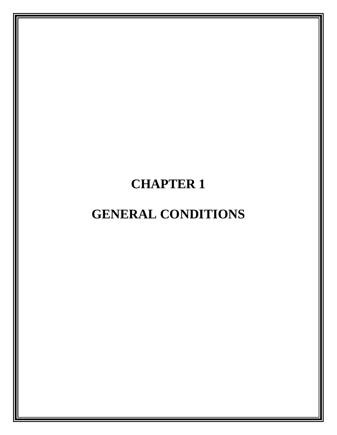# **CHAPTER 1**

# **GENERAL CONDITIONS**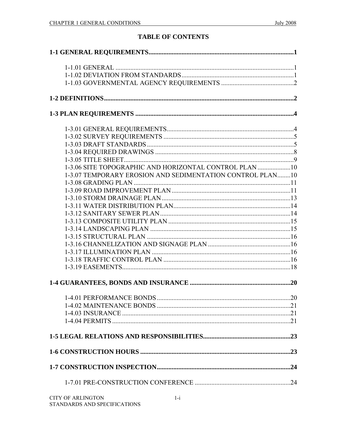# **TABLE OF CONTENTS**

| 1-3.06 SITE TOPOGRAPHIC AND HORIZONTAL CONTROL PLAN 10    |  |
|-----------------------------------------------------------|--|
| 1-3.07 TEMPORARY EROSION AND SEDIMENTATION CONTROL PLAN10 |  |
|                                                           |  |
|                                                           |  |
|                                                           |  |
|                                                           |  |
|                                                           |  |
|                                                           |  |
|                                                           |  |
|                                                           |  |
|                                                           |  |
|                                                           |  |
|                                                           |  |
|                                                           |  |
|                                                           |  |
|                                                           |  |
|                                                           |  |
|                                                           |  |
|                                                           |  |
|                                                           |  |
|                                                           |  |
|                                                           |  |
|                                                           |  |
| $CITY$ of an in $CTOY$                                    |  |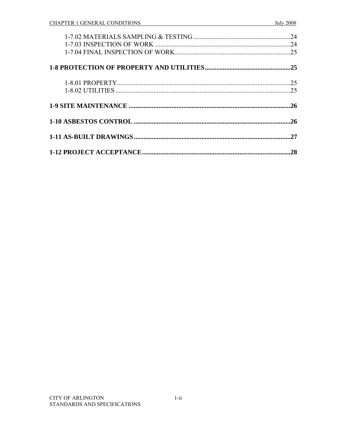| 24  |
|-----|
|     |
|     |
|     |
|     |
|     |
| 27  |
| .28 |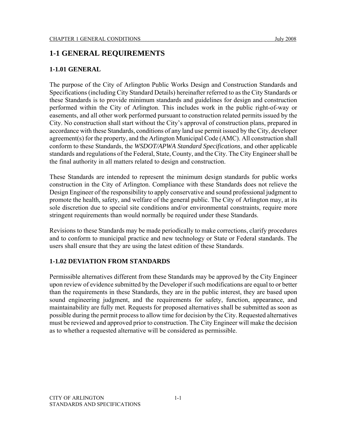# **1-1 GENERAL REQUIREMENTS**

#### **1-1.01 GENERAL**

The purpose of the City of Arlington Public Works Design and Construction Standards and Specifications (including City Standard Details) hereinafter referred to as the City Standards or these Standards is to provide minimum standards and guidelines for design and construction performed within the City of Arlington. This includes work in the public right-of-way or easements, and all other work performed pursuant to construction related permits issued by the City. No construction shall start without the City's approval of construction plans, prepared in accordance with these Standards, conditions of any land use permit issued by the City, developer agreement(s) for the property, and the Arlington Municipal Code (AMC). All construction shall conform to these Standards, the *WSDOT/APWA Standard Specifications*, and other applicable standards and regulations of the Federal, State, County, and the City. The City Engineer shall be the final authority in all matters related to design and construction.

These Standards are intended to represent the minimum design standards for public works construction in the City of Arlington. Compliance with these Standards does not relieve the Design Engineer of the responsibility to apply conservative and sound professional judgment to promote the health, safety, and welfare of the general public. The City of Arlington may, at its sole discretion due to special site conditions and/or environmental constraints, require more stringent requirements than would normally be required under these Standards.

Revisions to these Standards may be made periodically to make corrections, clarify procedures and to conform to municipal practice and new technology or State or Federal standards. The users shall ensure that they are using the latest edition of these Standards.

#### **1-1.02 DEVIATION FROM STANDARDS**

Permissible alternatives different from these Standards may be approved by the City Engineer upon review of evidence submitted by the Developer if such modifications are equal to or better than the requirements in these Standards, they are in the public interest, they are based upon sound engineering judgment, and the requirements for safety, function, appearance, and maintainability are fully met. Requests for proposed alternatives shall be submitted as soon as possible during the permit process to allow time for decision by the City. Requested alternatives must be reviewed and approved prior to construction. The City Engineer will make the decision as to whether a requested alternative will be considered as permissible.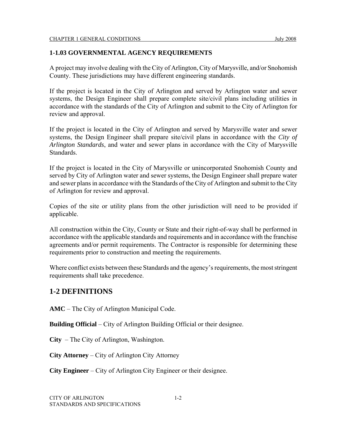#### **1-1.03 GOVERNMENTAL AGENCY REQUIREMENTS**

A project may involve dealing with the City of Arlington, City of Marysville, and/or Snohomish County. These jurisdictions may have different engineering standards.

If the project is located in the City of Arlington and served by Arlington water and sewer systems, the Design Engineer shall prepare complete site/civil plans including utilities in accordance with the standards of the City of Arlington and submit to the City of Arlington for review and approval.

If the project is located in the City of Arlington and served by Marysville water and sewer systems, the Design Engineer shall prepare site/civil plans in accordance with the *City of Arlington Standards*, and water and sewer plans in accordance with the City of Marysville Standards.

If the project is located in the City of Marysville or unincorporated Snohomish County and served by City of Arlington water and sewer systems, the Design Engineer shall prepare water and sewer plans in accordance with the Standards of the City of Arlington and submit to the City of Arlington for review and approval.

Copies of the site or utility plans from the other jurisdiction will need to be provided if applicable.

All construction within the City, County or State and their right-of-way shall be performed in accordance with the applicable standards and requirements and in accordance with the franchise agreements and/or permit requirements. The Contractor is responsible for determining these requirements prior to construction and meeting the requirements.

Where conflict exists between these Standards and the agency's requirements, the most stringent requirements shall take precedence.

# **1-2 DEFINITIONS**

**AMC** – The City of Arlington Municipal Code.

**Building Official** – City of Arlington Building Official or their designee.

**City** – The City of Arlington, Washington.

**City Attorney** – City of Arlington City Attorney

**City Engineer** – City of Arlington City Engineer or their designee.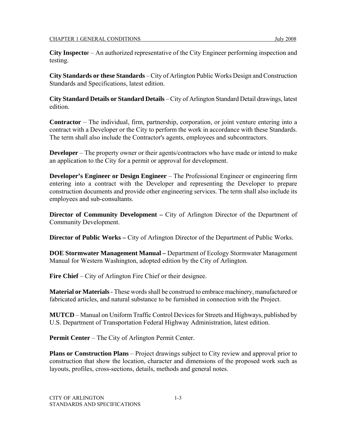**City Inspecto**r – An authorized representative of the City Engineer performing inspection and testing.

**City Standards or these Standards** – City of Arlington Public Works Design and Construction Standards and Specifications, latest edition.

**City Standard Details or Standard Details** – City of Arlington Standard Detail drawings, latest edition.

**Contractor** – The individual, firm, partnership, corporation, or joint venture entering into a contract with a Developer or the City to perform the work in accordance with these Standards. The term shall also include the Contractor's agents, employees and subcontractors.

**Developer** – The property owner or their agents/contractors who have made or intend to make an application to the City for a permit or approval for development.

**Developer's Engineer or Design Engineer** – The Professional Engineer or engineering firm entering into a contract with the Developer and representing the Developer to prepare construction documents and provide other engineering services. The term shall also include its employees and sub-consultants.

**Director of Community Development** – City of Arlington Director of the Department of Community Development.

**Director of Public Works –** City of Arlington Director of the Department of Public Works.

**DOE Stormwater Management Manual –** Department of Ecology Stormwater Management Manual for Western Washington, adopted edition by the City of Arlington.

**Fire Chief** – City of Arlington Fire Chief or their designee.

**Material or Materials** - These words shall be construed to embrace machinery, manufactured or fabricated articles, and natural substance to be furnished in connection with the Project.

**MUTCD** – Manual on Uniform Traffic Control Devices for Streets and Highways, published by U.S. Department of Transportation Federal Highway Administration, latest edition.

**Permit Center** – The City of Arlington Permit Center.

**Plans or Construction Plans** – Project drawings subject to City review and approval prior to construction that show the location, character and dimensions of the proposed work such as layouts, profiles, cross-sections, details, methods and general notes.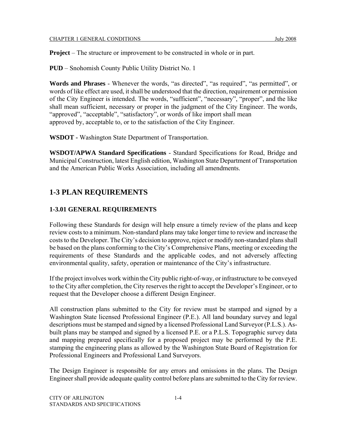**Project** – The structure or improvement to be constructed in whole or in part.

**PUD** – Snohomish County Public Utility District No. 1

**Words and Phrases** - Whenever the words, "as directed", "as required", "as permitted", or words of like effect are used, it shall be understood that the direction, requirement or permission of the City Engineer is intended. The words, "sufficient", "necessary", "proper", and the like shall mean sufficient, necessary or proper in the judgment of the City Engineer. The words, "approved", "acceptable", "satisfactory", or words of like import shall mean approved by, acceptable to, or to the satisfaction of the City Engineer.

**WSDOT -** Washington State Department of Transportation.

**WSDOT/APWA Standard Specifications** - Standard Specifications for Road, Bridge and Municipal Construction, latest English edition, Washington State Department of Transportation and the American Public Works Association, including all amendments.

# **1-3 PLAN REQUIREMENTS**

#### **1-3.01 GENERAL REQUIREMENTS**

Following these Standards for design will help ensure a timely review of the plans and keep review costs to a minimum. Non-standard plans may take longer time to review and increase the costs to the Developer. The City's decision to approve, reject or modify non-standard plans shall be based on the plans conforming to the City's Comprehensive Plans, meeting or exceeding the requirements of these Standards and the applicable codes, and not adversely affecting environmental quality, safety, operation or maintenance of the City's infrastructure.

If the project involves work within the City public right-of-way, or infrastructure to be conveyed to the City after completion, the City reserves the right to accept the Developer's Engineer, or to request that the Developer choose a different Design Engineer.

All construction plans submitted to the City for review must be stamped and signed by a Washington State licensed Professional Engineer (P.E.). All land boundary survey and legal descriptions must be stamped and signed by a licensed Professional Land Surveyor (P.L.S.). Asbuilt plans may be stamped and signed by a licensed P.E. or a P.L.S. Topographic survey data and mapping prepared specifically for a proposed project may be performed by the P.E. stamping the engineering plans as allowed by the Washington State Board of Registration for Professional Engineers and Professional Land Surveyors.

The Design Engineer is responsible for any errors and omissions in the plans. The Design Engineer shall provide adequate quality control before plans are submitted to the City for review.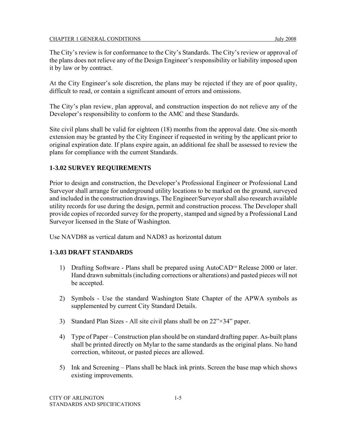#### CHAPTER 1 GENERAL CONDITIONS July 2008

The City's review is for conformance to the City's Standards. The City's review or approval of the plans does not relieve any of the Design Engineer's responsibility or liability imposed upon it by law or by contract.

At the City Engineer's sole discretion, the plans may be rejected if they are of poor quality, difficult to read, or contain a significant amount of errors and omissions.

The City's plan review, plan approval, and construction inspection do not relieve any of the Developer's responsibility to conform to the AMC and these Standards.

Site civil plans shall be valid for eighteen (18) months from the approval date. One six-month extension may be granted by the City Engineer if requested in writing by the applicant prior to original expiration date. If plans expire again, an additional fee shall be assessed to review the plans for compliance with the current Standards.

#### **1-3.02 SURVEY REQUIREMENTS**

Prior to design and construction, the Developer's Professional Engineer or Professional Land Surveyor shall arrange for underground utility locations to be marked on the ground, surveyed and included in the construction drawings. The Engineer/Surveyor shall also research available utility records for use during the design, permit and construction process. The Developer shall provide copies of recorded survey for the property, stamped and signed by a Professional Land Surveyor licensed in the State of Washington.

Use NAVD88 as vertical datum and NAD83 as horizontal datum

### **1-3.03 DRAFT STANDARDS**

- 1) Drafting Software Plans shall be prepared using AutoCAD™ Release 2000 or later. Hand drawn submittals (including corrections or alterations) and pasted pieces will not be accepted.
- 2) Symbols Use the standard Washington State Chapter of the APWA symbols as supplemented by current City Standard Details.
- 3) Standard Plan Sizes All site civil plans shall be on 22"×34" paper.
- 4) Type of Paper Construction plan should be on standard drafting paper. As-built plans shall be printed directly on Mylar to the same standards as the original plans. No hand correction, whiteout, or pasted pieces are allowed.
- 5) Ink and Screening Plans shall be black ink prints. Screen the base map which shows existing improvements.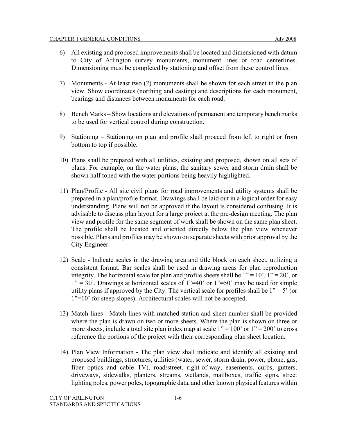- 6) All existing and proposed improvements shall be located and dimensioned with datum to City of Arlington survey monuments, monument lines or road centerlines. Dimensioning must be completed by stationing and offset from these control lines.
- 7) Monuments At least two (2) monuments shall be shown for each street in the plan view. Show coordinates (northing and easting) and descriptions for each monument, bearings and distances between monuments for each road.
- 8) Bench Marks Show locations and elevations of permanent and temporary bench marks to be used for vertical control during construction.
- 9) Stationing Stationing on plan and profile shall proceed from left to right or from bottom to top if possible.
- 10) Plans shall be prepared with all utilities, existing and proposed, shown on all sets of plans. For example, on the water plans, the sanitary sewer and storm drain shall be shown half toned with the water portions being heavily highlighted.
- 11) Plan/Profile All site civil plans for road improvements and utility systems shall be prepared in a plan/profile format. Drawings shall be laid out in a logical order for easy understanding. Plans will not be approved if the layout is considered confusing. It is advisable to discuss plan layout for a large project at the pre-design meeting. The plan view and profile for the same segment of work shall be shown on the same plan sheet. The profile shall be located and oriented directly below the plan view whenever possible. Plans and profiles may be shown on separate sheets with prior approval by the City Engineer.
- 12) Scale Indicate scales in the drawing area and title block on each sheet, utilizing a consistent format. Bar scales shall be used in drawing areas for plan reproduction integrity. The horizontal scale for plan and profile sheets shall be  $1'' = 10'$ ,  $1'' = 20'$ , or  $1" = 30'$ . Drawings at horizontal scales of  $1" = 40'$  or  $1" = 50'$  may be used for simple utility plans if approved by the City. The vertical scale for profiles shall be  $1" = 5'$  (or 1"=10' for steep slopes). Architectural scales will not be accepted.
- 13) Match-lines Match lines with matched station and sheet number shall be provided where the plan is drawn on two or more sheets. Where the plan is shown on three or more sheets, include a total site plan index map at scale  $1" = 100'$  or  $1" = 200'$  to cross reference the portions of the project with their corresponding plan sheet location.
- 14) Plan View Information The plan view shall indicate and identify all existing and proposed buildings, structures, utilities (water, sewer, storm drain, power, phone, gas, fiber optics and cable TV), road/street, right-of-way, easements, curbs, gutters, driveways, sidewalks, planters, streams, wetlands, mailboxes, traffic signs, street lighting poles, power poles, topographic data, and other known physical features within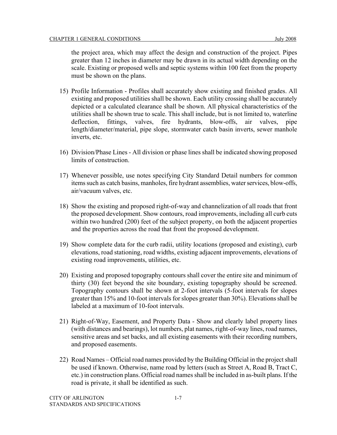the project area, which may affect the design and construction of the project. Pipes greater than 12 inches in diameter may be drawn in its actual width depending on the scale. Existing or proposed wells and septic systems within 100 feet from the property must be shown on the plans.

- 15) Profile Information Profiles shall accurately show existing and finished grades. All existing and proposed utilities shall be shown. Each utility crossing shall be accurately depicted or a calculated clearance shall be shown. All physical characteristics of the utilities shall be shown true to scale. This shall include, but is not limited to, waterline deflection, fittings, valves, fire hydrants, blow-offs, air valves, pipe length/diameter/material, pipe slope, stormwater catch basin inverts, sewer manhole inverts, etc.
- 16) Division/Phase Lines All division or phase lines shall be indicated showing proposed limits of construction.
- 17) Whenever possible, use notes specifying City Standard Detail numbers for common items such as catch basins, manholes, fire hydrant assemblies, water services, blow-offs, air/vacuum valves, etc.
- 18) Show the existing and proposed right-of-way and channelization of all roads that front the proposed development. Show contours, road improvements, including all curb cuts within two hundred (200) feet of the subject property, on both the adjacent properties and the properties across the road that front the proposed development.
- 19) Show complete data for the curb radii, utility locations (proposed and existing), curb elevations, road stationing, road widths, existing adjacent improvements, elevations of existing road improvements, utilities, etc.
- 20) Existing and proposed topography contours shall cover the entire site and minimum of thirty (30) feet beyond the site boundary, existing topography should be screened. Topography contours shall be shown at 2-foot intervals (5-foot intervals for slopes greater than 15% and 10-foot intervals for slopes greater than 30%). Elevations shall be labeled at a maximum of 10-foot intervals.
- 21) Right-of-Way, Easement, and Property Data Show and clearly label property lines (with distances and bearings), lot numbers, plat names, right-of-way lines, road names, sensitive areas and set backs, and all existing easements with their recording numbers, and proposed easements.
- 22) Road Names Official road names provided by the Building Official in the project shall be used if known. Otherwise, name road by letters (such as Street A, Road B, Tract C, etc.) in construction plans. Official road names shall be included in as-built plans. If the road is private, it shall be identified as such.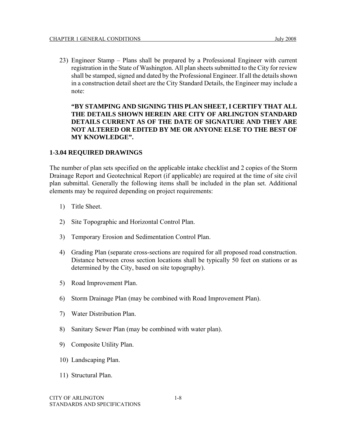23) Engineer Stamp – Plans shall be prepared by a Professional Engineer with current registration in the State of Washington. All plan sheets submitted to the City for review shall be stamped, signed and dated by the Professional Engineer. If all the details shown in a construction detail sheet are the City Standard Details, the Engineer may include a note:

**"BY STAMPING AND SIGNING THIS PLAN SHEET, I CERTIFY THAT ALL THE DETAILS SHOWN HEREIN ARE CITY OF ARLINGTON STANDARD DETAILS CURRENT AS OF THE DATE OF SIGNATURE AND THEY ARE NOT ALTERED OR EDITED BY ME OR ANYONE ELSE TO THE BEST OF MY KNOWLEDGE".** 

#### **1-3.04 REQUIRED DRAWINGS**

The number of plan sets specified on the applicable intake checklist and 2 copies of the Storm Drainage Report and Geotechnical Report (if applicable) are required at the time of site civil plan submittal. Generally the following items shall be included in the plan set. Additional elements may be required depending on project requirements:

- 1) Title Sheet.
- 2) Site Topographic and Horizontal Control Plan.
- 3) Temporary Erosion and Sedimentation Control Plan.
- 4) Grading Plan (separate cross-sections are required for all proposed road construction. Distance between cross section locations shall be typically 50 feet on stations or as determined by the City, based on site topography).
- 5) Road Improvement Plan.
- 6) Storm Drainage Plan (may be combined with Road Improvement Plan).
- 7) Water Distribution Plan.
- 8) Sanitary Sewer Plan (may be combined with water plan).
- 9) Composite Utility Plan.
- 10) Landscaping Plan.
- 11) Structural Plan.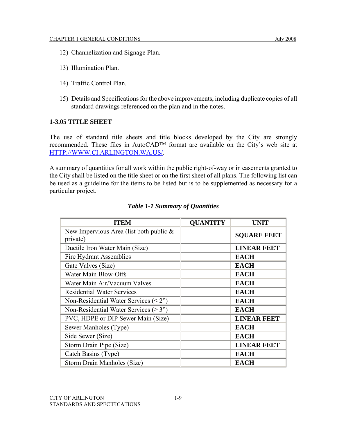- 12) Channelization and Signage Plan.
- 13) Illumination Plan.
- 14) Traffic Control Plan.
- 15) Details and Specifications for the above improvements, including duplicate copies of all standard drawings referenced on the plan and in the notes.

#### **1-3.05 TITLE SHEET**

The use of standard title sheets and title blocks developed by the City are strongly recommended. These files in AutoCAD™ format are available on the City's web site at HTTP://WWW.CI.ARLINGTON.WA.US/.

A summary of quantities for all work within the public right-of-way or in easements granted to the City shall be listed on the title sheet or on the first sheet of all plans. The following list can be used as a guideline for the items to be listed but is to be supplemented as necessary for a particular project.

| ITEM                                                   | <b>QUANTITY</b> | <b>UNIT</b>        |
|--------------------------------------------------------|-----------------|--------------------|
| New Impervious Area (list both public $\&$<br>private) |                 | <b>SQUARE FEET</b> |
| Ductile Iron Water Main (Size)                         |                 | <b>LINEAR FEET</b> |
| <b>Fire Hydrant Assemblies</b>                         |                 | <b>EACH</b>        |
| Gate Valves (Size)                                     |                 | <b>EACH</b>        |
| Water Main Blow-Offs                                   |                 | <b>EACH</b>        |
| Water Main Air/Vacuum Valves                           |                 | <b>EACH</b>        |
| <b>Residential Water Services</b>                      |                 | <b>EACH</b>        |
| Non-Residential Water Services $(\leq 2)$              |                 | <b>EACH</b>        |
| Non-Residential Water Services ( $\geq$ 3")            |                 | <b>EACH</b>        |
| PVC, HDPE or DIP Sewer Main (Size)                     |                 | <b>LINEAR FEET</b> |
| Sewer Manholes (Type)                                  |                 | <b>EACH</b>        |
| Side Sewer (Size)                                      |                 | <b>EACH</b>        |
| Storm Drain Pipe (Size)                                |                 | <b>LINEAR FEET</b> |
| Catch Basins (Type)                                    |                 | <b>EACH</b>        |
| Storm Drain Manholes (Size)                            |                 | <b>EACH</b>        |

#### *Table 1-1 Summary of Quantities*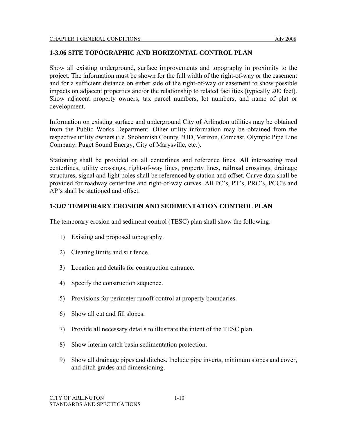#### **1-3.06 SITE TOPOGRAPHIC AND HORIZONTAL CONTROL PLAN**

Show all existing underground, surface improvements and topography in proximity to the project. The information must be shown for the full width of the right-of-way or the easement and for a sufficient distance on either side of the right-of-way or easement to show possible impacts on adjacent properties and/or the relationship to related facilities (typically 200 feet). Show adjacent property owners, tax parcel numbers, lot numbers, and name of plat or development.

Information on existing surface and underground City of Arlington utilities may be obtained from the Public Works Department. Other utility information may be obtained from the respective utility owners (i.e. Snohomish County PUD, Verizon, Comcast, Olympic Pipe Line Company. Puget Sound Energy, City of Marysville, etc.).

Stationing shall be provided on all centerlines and reference lines. All intersecting road centerlines, utility crossings, right-of-way lines, property lines, railroad crossings, drainage structures, signal and light poles shall be referenced by station and offset. Curve data shall be provided for roadway centerline and right-of-way curves. All PC's, PT's, PRC's, PCC's and AP's shall be stationed and offset.

#### **1-3.07 TEMPORARY EROSION AND SEDIMENTATION CONTROL PLAN**

The temporary erosion and sediment control (TESC) plan shall show the following:

- 1) Existing and proposed topography.
- 2) Clearing limits and silt fence.
- 3) Location and details for construction entrance.
- 4) Specify the construction sequence.
- 5) Provisions for perimeter runoff control at property boundaries.
- 6) Show all cut and fill slopes.
- 7) Provide all necessary details to illustrate the intent of the TESC plan.
- 8) Show interim catch basin sedimentation protection.
- 9) Show all drainage pipes and ditches. Include pipe inverts, minimum slopes and cover, and ditch grades and dimensioning.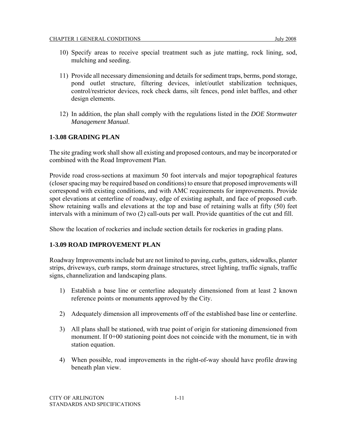- 10) Specify areas to receive special treatment such as jute matting, rock lining, sod, mulching and seeding.
- 11) Provide all necessary dimensioning and details for sediment traps, berms, pond storage, pond outlet structure, filtering devices, inlet/outlet stabilization techniques, control/restrictor devices, rock check dams, silt fences, pond inlet baffles, and other design elements.
- 12) In addition, the plan shall comply with the regulations listed in the *DOE Stormwater Management Manual*.

### **1-3.08 GRADING PLAN**

The site grading work shall show all existing and proposed contours, and may be incorporated or combined with the Road Improvement Plan.

Provide road cross-sections at maximum 50 foot intervals and major topographical features (closer spacing may be required based on conditions) to ensure that proposed improvements will correspond with existing conditions, and with AMC requirements for improvements. Provide spot elevations at centerline of roadway, edge of existing asphalt, and face of proposed curb. Show retaining walls and elevations at the top and base of retaining walls at fifty (50) feet intervals with a minimum of two (2) call-outs per wall. Provide quantities of the cut and fill.

Show the location of rockeries and include section details for rockeries in grading plans.

#### **1-3.09 ROAD IMPROVEMENT PLAN**

Roadway Improvements include but are not limited to paving, curbs, gutters, sidewalks, planter strips, driveways, curb ramps, storm drainage structures, street lighting, traffic signals, traffic signs, channelization and landscaping plans.

- 1) Establish a base line or centerline adequately dimensioned from at least 2 known reference points or monuments approved by the City.
- 2) Adequately dimension all improvements off of the established base line or centerline.
- 3) All plans shall be stationed, with true point of origin for stationing dimensioned from monument. If 0+00 stationing point does not coincide with the monument, tie in with station equation.
- 4) When possible, road improvements in the right-of-way should have profile drawing beneath plan view.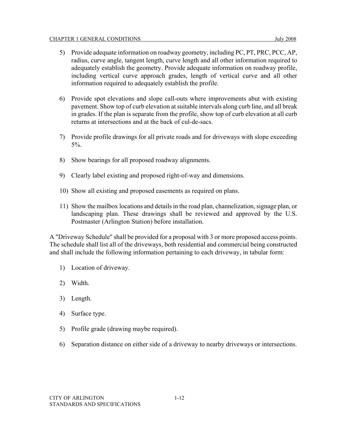- 5) Provide adequate information on roadway geometry, including PC, PT, PRC, PCC, AP, radius, curve angle, tangent length, curve length and all other information required to adequately establish the geometry. Provide adequate information on roadway profile, including vertical curve approach grades, length of vertical curve and all other information required to adequately establish the profile.
- 6) Provide spot elevations and slope call-outs where improvements abut with existing pavement. Show top of curb elevation at suitable intervals along curb line, and all break in grades. If the plan is separate from the profile, show top of curb elevation at all curb returns at intersections and at the back of cul-de-sacs.
- 7) Provide profile drawings for all private roads and for driveways with slope exceeding 5%.
- 8) Show bearings for all proposed roadway alignments.
- 9) Clearly label existing and proposed right-of-way and dimensions.
- 10) Show all existing and proposed easements as required on plans.
- 11) Show the mailbox locations and details in the road plan, channelization, signage plan, or landscaping plan. These drawings shall be reviewed and approved by the U.S. Postmaster (Arlington Station) before installation.

A "Driveway Schedule" shall be provided for a proposal with 3 or more proposed access points. The schedule shall list all of the driveways, both residential and commercial being constructed and shall include the following information pertaining to each driveway, in tabular form:

- 1) Location of driveway.
- 2) Width.
- 3) Length.
- 4) Surface type.
- 5) Profile grade (drawing maybe required).
- 6) Separation distance on either side of a driveway to nearby driveways or intersections.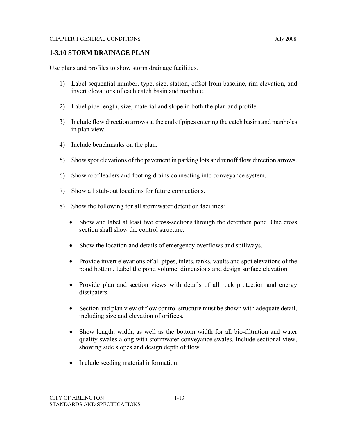#### **1-3.10 STORM DRAINAGE PLAN**

Use plans and profiles to show storm drainage facilities.

- 1) Label sequential number, type, size, station, offset from baseline, rim elevation, and invert elevations of each catch basin and manhole.
- 2) Label pipe length, size, material and slope in both the plan and profile.
- 3) Include flow direction arrows at the end of pipes entering the catch basins and manholes in plan view.
- 4) Include benchmarks on the plan.
- 5) Show spot elevations of the pavement in parking lots and runoff flow direction arrows.
- 6) Show roof leaders and footing drains connecting into conveyance system.
- 7) Show all stub-out locations for future connections.
- 8) Show the following for all stormwater detention facilities:
	- Show and label at least two cross-sections through the detention pond. One cross section shall show the control structure.
	- Show the location and details of emergency overflows and spillways.
	- Provide invert elevations of all pipes, inlets, tanks, vaults and spot elevations of the pond bottom. Label the pond volume, dimensions and design surface elevation.
	- Provide plan and section views with details of all rock protection and energy dissipaters.
	- Section and plan view of flow control structure must be shown with adequate detail, including size and elevation of orifices.
	- Show length, width, as well as the bottom width for all bio-filtration and water quality swales along with stormwater conveyance swales. Include sectional view, showing side slopes and design depth of flow.
	- Include seeding material information.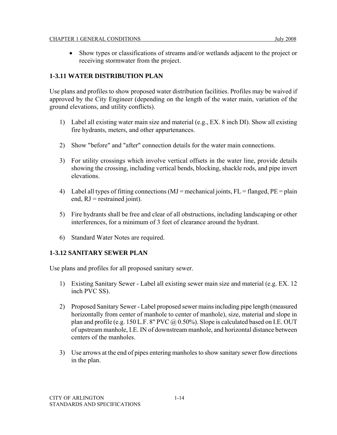#### **1-3.11 WATER DISTRIBUTION PLAN**

Use plans and profiles to show proposed water distribution facilities. Profiles may be waived if approved by the City Engineer (depending on the length of the water main, variation of the ground elevations, and utility conflicts).

- 1) Label all existing water main size and material (e.g., EX. 8 inch DI). Show all existing fire hydrants, meters, and other appurtenances.
- 2) Show "before" and "after" connection details for the water main connections.
- 3) For utility crossings which involve vertical offsets in the water line, provide details showing the crossing, including vertical bends, blocking, shackle rods, and pipe invert elevations.
- 4) Label all types of fitting connections ( $MJ$  = mechanical joints,  $FL$  = flanged,  $PE$  = plain end,  $RJ$  = restrained joint).
- 5) Fire hydrants shall be free and clear of all obstructions, including landscaping or other interferences, for a minimum of 3 feet of clearance around the hydrant.
- 6) Standard Water Notes are required.

### **1-3.12 SANITARY SEWER PLAN**

Use plans and profiles for all proposed sanitary sewer.

- 1) Existing Sanitary Sewer Label all existing sewer main size and material (e.g. EX. 12 inch PVC SS).
- 2) Proposed Sanitary Sewer Label proposed sewer mains including pipe length (measured horizontally from center of manhole to center of manhole), size, material and slope in plan and profile (e.g. 150 L.F. 8" PVC  $@0.50\%$ ). Slope is calculated based on I.E. OUT of upstream manhole, I.E. IN of downstream manhole, and horizontal distance between centers of the manholes.
- 3) Use arrows at the end of pipes entering manholes to show sanitary sewer flow directions in the plan.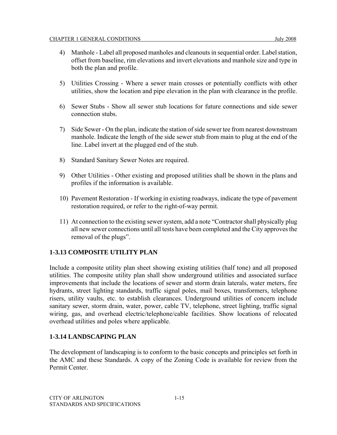- 4) Manhole Label all proposed manholes and cleanouts in sequential order. Label station, offset from baseline, rim elevations and invert elevations and manhole size and type in both the plan and profile.
- 5) Utilities Crossing Where a sewer main crosses or potentially conflicts with other utilities, show the location and pipe elevation in the plan with clearance in the profile.
- 6) Sewer Stubs Show all sewer stub locations for future connections and side sewer connection stubs.
- 7) Side Sewer On the plan, indicate the station of side sewer tee from nearest downstream manhole. Indicate the length of the side sewer stub from main to plug at the end of the line. Label invert at the plugged end of the stub.
- 8) Standard Sanitary Sewer Notes are required.
- 9) Other Utilities Other existing and proposed utilities shall be shown in the plans and profiles if the information is available.
- 10) Pavement Restoration If working in existing roadways, indicate the type of pavement restoration required, or refer to the right-of-way permit.
- 11) At connection to the existing sewer system, add a note "Contractor shall physically plug all new sewer connections until all tests have been completed and the City approves the removal of the plugs".

### **1-3.13 COMPOSITE UTILITY PLAN**

Include a composite utility plan sheet showing existing utilities (half tone) and all proposed utilities. The composite utility plan shall show underground utilities and associated surface improvements that include the locations of sewer and storm drain laterals, water meters, fire hydrants, street lighting standards, traffic signal poles, mail boxes, transformers, telephone risers, utility vaults, etc. to establish clearances. Underground utilities of concern include sanitary sewer, storm drain, water, power, cable TV, telephone, street lighting, traffic signal wiring, gas, and overhead electric/telephone/cable facilities. Show locations of relocated overhead utilities and poles where applicable.

#### **1-3.14 LANDSCAPING PLAN**

The development of landscaping is to conform to the basic concepts and principles set forth in the AMC and these Standards. A copy of the Zoning Code is available for review from the Permit Center.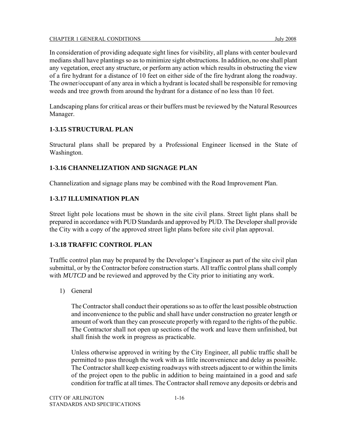In consideration of providing adequate sight lines for visibility, all plans with center boulevard medians shall have plantings so as to minimize sight obstructions. In addition, no one shall plant any vegetation, erect any structure, or perform any action which results in obstructing the view of a fire hydrant for a distance of 10 feet on either side of the fire hydrant along the roadway. The owner/occupant of any area in which a hydrant is located shall be responsible for removing weeds and tree growth from around the hydrant for a distance of no less than 10 feet.

Landscaping plans for critical areas or their buffers must be reviewed by the Natural Resources Manager.

#### **1-3.15 STRUCTURAL PLAN**

Structural plans shall be prepared by a Professional Engineer licensed in the State of Washington.

### **1-3.16 CHANNELIZATION AND SIGNAGE PLAN**

Channelization and signage plans may be combined with the Road Improvement Plan.

#### **1-3.17 ILLUMINATION PLAN**

Street light pole locations must be shown in the site civil plans. Street light plans shall be prepared in accordance with PUD Standards and approved by PUD. The Developer shall provide the City with a copy of the approved street light plans before site civil plan approval.

#### **1-3.18 TRAFFIC CONTROL PLAN**

Traffic control plan may be prepared by the Developer's Engineer as part of the site civil plan submittal, or by the Contractor before construction starts. All traffic control plans shall comply with *MUTCD* and be reviewed and approved by the City prior to initiating any work.

1) General

The Contractor shall conduct their operations so as to offer the least possible obstruction and inconvenience to the public and shall have under construction no greater length or amount of work than they can prosecute properly with regard to the rights of the public. The Contractor shall not open up sections of the work and leave them unfinished, but shall finish the work in progress as practicable.

Unless otherwise approved in writing by the City Engineer, all public traffic shall be permitted to pass through the work with as little inconvenience and delay as possible. The Contractor shall keep existing roadways with streets adjacent to or within the limits of the project open to the public in addition to being maintained in a good and safe condition for traffic at all times. The Contractor shall remove any deposits or debris and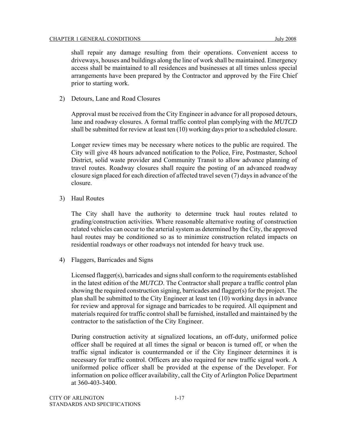shall repair any damage resulting from their operations. Convenient access to driveways, houses and buildings along the line of work shall be maintained. Emergency access shall be maintained to all residences and businesses at all times unless special arrangements have been prepared by the Contractor and approved by the Fire Chief prior to starting work.

2) Detours, Lane and Road Closures

Approval must be received from the City Engineer in advance for all proposed detours, lane and roadway closures. A formal traffic control plan complying with the *MUTCD* shall be submitted for review at least ten (10) working days prior to a scheduled closure.

Longer review times may be necessary where notices to the public are required. The City will give 48 hours advanced notification to the Police, Fire, Postmaster, School District, solid waste provider and Community Transit to allow advance planning of travel routes. Roadway closures shall require the posting of an advanced roadway closure sign placed for each direction of affected travel seven (7) days in advance of the closure.

3) Haul Routes

The City shall have the authority to determine truck haul routes related to grading/construction activities. Where reasonable alternative routing of construction related vehicles can occur to the arterial system as determined by the City, the approved haul routes may be conditioned so as to minimize construction related impacts on residential roadways or other roadways not intended for heavy truck use.

4) Flaggers, Barricades and Signs

Licensed flagger(s), barricades and signs shall conform to the requirements established in the latest edition of the *MUTCD*. The Contractor shall prepare a traffic control plan showing the required construction signing, barricades and flagger(s) for the project. The plan shall be submitted to the City Engineer at least ten (10) working days in advance for review and approval for signage and barricades to be required. All equipment and materials required for traffic control shall be furnished, installed and maintained by the contractor to the satisfaction of the City Engineer.

During construction activity at signalized locations, an off-duty, uniformed police officer shall be required at all times the signal or beacon is turned off, or when the traffic signal indicator is countermanded or if the City Engineer determines it is necessary for traffic control. Officers are also required for new traffic signal work. A uniformed police officer shall be provided at the expense of the Developer. For information on police officer availability, call the City of Arlington Police Department at 360-403-3400.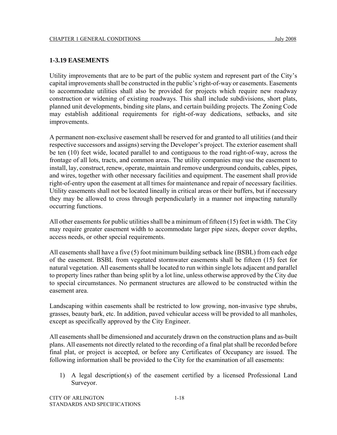#### **1-3.19 EASEMENTS**

Utility improvements that are to be part of the public system and represent part of the City's capital improvements shall be constructed in the public's right-of-way or easements. Easements to accommodate utilities shall also be provided for projects which require new roadway construction or widening of existing roadways. This shall include subdivisions, short plats, planned unit developments, binding site plans, and certain building projects. The Zoning Code may establish additional requirements for right-of-way dedications, setbacks, and site improvements.

A permanent non-exclusive easement shall be reserved for and granted to all utilities (and their respective successors and assigns) serving the Developer's project. The exterior easement shall be ten (10) feet wide, located parallel to and contiguous to the road right-of-way, across the frontage of all lots, tracts, and common areas. The utility companies may use the easement to install, lay, construct, renew, operate, maintain and remove underground conduits, cables, pipes, and wires, together with other necessary facilities and equipment. The easement shall provide right-of-entry upon the easement at all times for maintenance and repair of necessary facilities. Utility easements shall not be located lineally in critical areas or their buffers, but if necessary they may be allowed to cross through perpendicularly in a manner not impacting naturally occurring functions.

All other easements for public utilities shall be a minimum of fifteen (15) feet in width. The City may require greater easement width to accommodate larger pipe sizes, deeper cover depths, access needs, or other special requirements.

All easements shall have a five (5) foot minimum building setback line (BSBL) from each edge of the easement. BSBL from vegetated stormwater easements shall be fifteen (15) feet for natural vegetation. All easements shall be located to run within single lots adjacent and parallel to property lines rather than being split by a lot line, unless otherwise approved by the City due to special circumstances. No permanent structures are allowed to be constructed within the easement area.

Landscaping within easements shall be restricted to low growing, non-invasive type shrubs, grasses, beauty bark, etc. In addition, paved vehicular access will be provided to all manholes, except as specifically approved by the City Engineer.

All easements shall be dimensioned and accurately drawn on the construction plans and as-built plans. All easements not directly related to the recording of a final plat shall be recorded before final plat, or project is accepted, or before any Certificates of Occupancy are issued. The following information shall be provided to the City for the examination of all easements:

1) A legal description(s) of the easement certified by a licensed Professional Land Surveyor.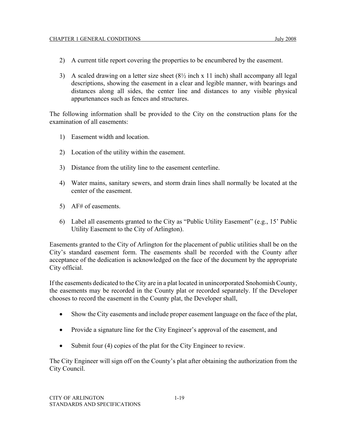- 2) A current title report covering the properties to be encumbered by the easement.
- 3) A scaled drawing on a letter size sheet  $(8\frac{1}{2} \text{ inch} \times 11 \text{ inch})$  shall accompany all legal descriptions, showing the easement in a clear and legible manner, with bearings and distances along all sides, the center line and distances to any visible physical appurtenances such as fences and structures.

The following information shall be provided to the City on the construction plans for the examination of all easements:

- 1) Easement width and location.
- 2) Location of the utility within the easement.
- 3) Distance from the utility line to the easement centerline.
- 4) Water mains, sanitary sewers, and storm drain lines shall normally be located at the center of the easement.
- 5) AF# of easements.
- 6) Label all easements granted to the City as "Public Utility Easement" (e.g., 15' Public Utility Easement to the City of Arlington).

Easements granted to the City of Arlington for the placement of public utilities shall be on the City's standard easement form. The easements shall be recorded with the County after acceptance of the dedication is acknowledged on the face of the document by the appropriate City official.

If the easements dedicated to the City are in a plat located in unincorporated Snohomish County, the easements may be recorded in the County plat or recorded separately. If the Developer chooses to record the easement in the County plat, the Developer shall,

- Show the City easements and include proper easement language on the face of the plat,
- Provide a signature line for the City Engineer's approval of the easement, and
- Submit four (4) copies of the plat for the City Engineer to review.

The City Engineer will sign off on the County's plat after obtaining the authorization from the City Council.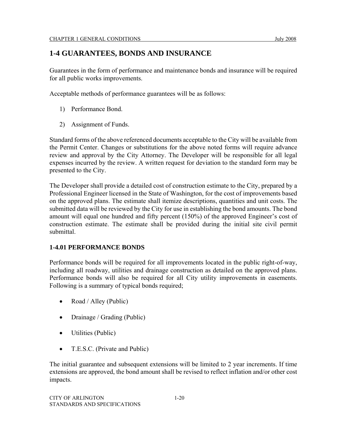# **1-4 GUARANTEES, BONDS AND INSURANCE**

Guarantees in the form of performance and maintenance bonds and insurance will be required for all public works improvements.

Acceptable methods of performance guarantees will be as follows:

- 1) Performance Bond.
- 2) Assignment of Funds.

Standard forms of the above referenced documents acceptable to the City will be available from the Permit Center. Changes or substitutions for the above noted forms will require advance review and approval by the City Attorney. The Developer will be responsible for all legal expenses incurred by the review. A written request for deviation to the standard form may be presented to the City.

The Developer shall provide a detailed cost of construction estimate to the City, prepared by a Professional Engineer licensed in the State of Washington, for the cost of improvements based on the approved plans. The estimate shall itemize descriptions, quantities and unit costs. The submitted data will be reviewed by the City for use in establishing the bond amounts. The bond amount will equal one hundred and fifty percent (150%) of the approved Engineer's cost of construction estimate. The estimate shall be provided during the initial site civil permit submittal.

#### **1-4.01 PERFORMANCE BONDS**

Performance bonds will be required for all improvements located in the public right-of-way, including all roadway, utilities and drainage construction as detailed on the approved plans. Performance bonds will also be required for all City utility improvements in easements. Following is a summary of typical bonds required;

- Road / Alley (Public)
- Drainage / Grading (Public)
- Utilities (Public)
- T.E.S.C. (Private and Public)

The initial guarantee and subsequent extensions will be limited to 2 year increments. If time extensions are approved, the bond amount shall be revised to reflect inflation and/or other cost impacts.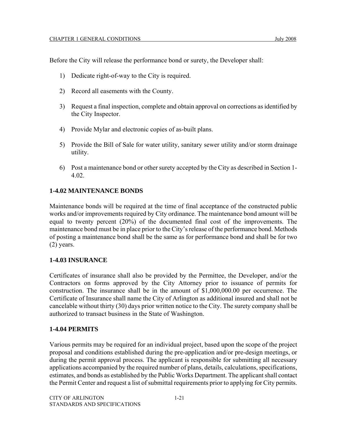Before the City will release the performance bond or surety, the Developer shall:

- 1) Dedicate right-of-way to the City is required.
- 2) Record all easements with the County.
- 3) Request a final inspection, complete and obtain approval on corrections as identified by the City Inspector.
- 4) Provide Mylar and electronic copies of as-built plans.
- 5) Provide the Bill of Sale for water utility, sanitary sewer utility and/or storm drainage utility.
- 6) Post a maintenance bond or other surety accepted by the City as described in Section 1- 4.02.

#### **1-4.02 MAINTENANCE BONDS**

Maintenance bonds will be required at the time of final acceptance of the constructed public works and/or improvements required by City ordinance. The maintenance bond amount will be equal to twenty percent (20%) of the documented final cost of the improvements. The maintenance bond must be in place prior to the City's release of the performance bond. Methods of posting a maintenance bond shall be the same as for performance bond and shall be for two (2) years.

#### **1-4.03 INSURANCE**

Certificates of insurance shall also be provided by the Permittee, the Developer, and/or the Contractors on forms approved by the City Attorney prior to issuance of permits for construction. The insurance shall be in the amount of \$1,000,000.00 per occurrence. The Certificate of Insurance shall name the City of Arlington as additional insured and shall not be cancelable without thirty (30) days prior written notice to the City. The surety company shall be authorized to transact business in the State of Washington.

#### **1-4.04 PERMITS**

Various permits may be required for an individual project, based upon the scope of the project proposal and conditions established during the pre-application and/or pre-design meetings, or during the permit approval process. The applicant is responsible for submitting all necessary applications accompanied by the required number of plans, details, calculations, specifications, estimates, and bonds as established by the Public Works Department. The applicant shall contact the Permit Center and request a list of submittal requirements prior to applying for City permits.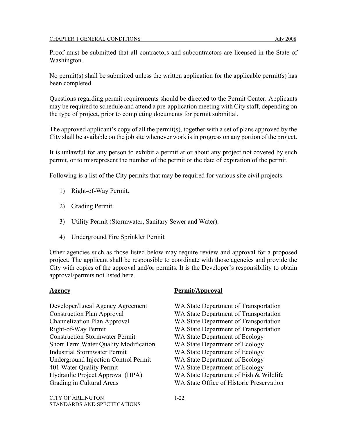Proof must be submitted that all contractors and subcontractors are licensed in the State of Washington.

No permit(s) shall be submitted unless the written application for the applicable permit(s) has been completed.

Questions regarding permit requirements should be directed to the Permit Center. Applicants may be required to schedule and attend a pre-application meeting with City staff, depending on the type of project, prior to completing documents for permit submittal.

The approved applicant's copy of all the permit(s), together with a set of plans approved by the City shall be available on the job site whenever work is in progress on any portion of the project.

It is unlawful for any person to exhibit a permit at or about any project not covered by such permit, or to misrepresent the number of the permit or the date of expiration of the permit.

Following is a list of the City permits that may be required for various site civil projects:

- 1) Right-of-Way Permit.
- 2) Grading Permit.
- 3) Utility Permit (Stormwater, Sanitary Sewer and Water).
- 4) Underground Fire Sprinkler Permit

Other agencies such as those listed below may require review and approval for a proposed project. The applicant shall be responsible to coordinate with those agencies and provide the City with copies of the approval and/or permits. It is the Developer's responsibility to obtain approval/permits not listed here.

Construction Plan Approval WA State Department of Transportation Construction Stormwater Permit WA State Department of Ecology Short Term Water Quality Modification WA State Department of Ecology Industrial Stormwater Permit WA State Department of Ecology Underground Injection Control Permit WA State Department of Ecology 401 Water Quality Permit WA State Department of Ecology Hydraulic Project Approval (HPA) WA State Department of Fish & Wildlife Grading in Cultural Areas WA State Office of Historic Preservation

CITY OF ARLINGTON 1-22 STANDARDS AND SPECIFICATIONS

#### **Agency Permit/Approval**

- Developer/Local Agency Agreement WA State Department of Transportation
	-
- Channelization Plan Approval WA State Department of Transportation
- Right-of-Way Permit WA State Department of Transportation
	-
	-
	-
	-
	-
	-
	-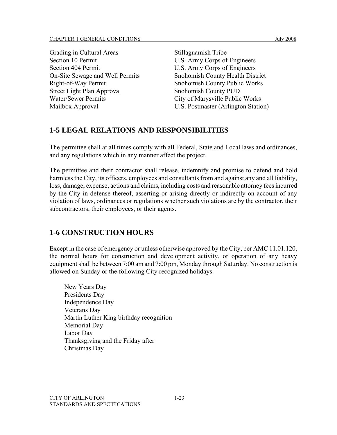| Grading in Cultural Areas         |
|-----------------------------------|
| Section 10 Permit                 |
| Section 404 Permit                |
| On-Site Sewage and Well Permits   |
| Right-of-Way Permit               |
| <b>Street Light Plan Approval</b> |
| <b>Water/Sewer Permits</b>        |
| Mailbox Approval                  |

Stillaguamish Tribe U.S. Army Corps of Engineers U.S. Army Corps of Engineers Snohomish County Health District Snohomish County Public Works Snohomish County PUD City of Marysville Public Works U.S. Postmaster (Arlington Station)

# **1-5 LEGAL RELATIONS AND RESPONSIBILITIES**

The permittee shall at all times comply with all Federal, State and Local laws and ordinances, and any regulations which in any manner affect the project.

The permittee and their contractor shall release, indemnify and promise to defend and hold harmless the City, its officers, employees and consultants from and against any and all liability, loss, damage, expense, actions and claims, including costs and reasonable attorney fees incurred by the City in defense thereof, asserting or arising directly or indirectly on account of any violation of laws, ordinances or regulations whether such violations are by the contractor, their subcontractors, their employees, or their agents.

# **1-6 CONSTRUCTION HOURS**

Except in the case of emergency or unless otherwise approved by the City, per AMC 11.01.120, the normal hours for construction and development activity, or operation of any heavy equipment shall be between 7:00 am and 7:00 pm, Monday through Saturday. No construction is allowed on Sunday or the following City recognized holidays.

New Years Day Presidents Day Independence Day Veterans Day Martin Luther King birthday recognition Memorial Day Labor Day Thanksgiving and the Friday after Christmas Day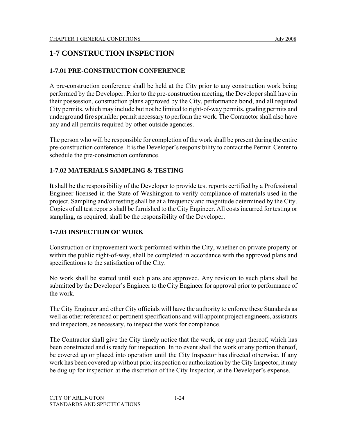# **1-7 CONSTRUCTION INSPECTION**

# **1-7.01 PRE-CONSTRUCTION CONFERENCE**

A pre-construction conference shall be held at the City prior to any construction work being performed by the Developer. Prior to the pre-construction meeting, the Developer shall have in their possession, construction plans approved by the City, performance bond, and all required City permits, which may include but not be limited to right-of-way permits, grading permits and underground fire sprinkler permit necessary to perform the work. The Contractor shall also have any and all permits required by other outside agencies.

The person who will be responsible for completion of the work shall be present during the entire pre-construction conference. It is the Developer's responsibility to contact the Permit Center to schedule the pre-construction conference.

# **1-7.02 MATERIALS SAMPLING & TESTING**

It shall be the responsibility of the Developer to provide test reports certified by a Professional Engineer licensed in the State of Washington to verify compliance of materials used in the project. Sampling and/or testing shall be at a frequency and magnitude determined by the City. Copies of all test reports shall be furnished to the City Engineer. All costs incurred for testing or sampling, as required, shall be the responsibility of the Developer.

### **1-7.03 INSPECTION OF WORK**

Construction or improvement work performed within the City, whether on private property or within the public right-of-way, shall be completed in accordance with the approved plans and specifications to the satisfaction of the City.

No work shall be started until such plans are approved. Any revision to such plans shall be submitted by the Developer's Engineer to the City Engineer for approval prior to performance of the work.

The City Engineer and other City officials will have the authority to enforce these Standards as well as other referenced or pertinent specifications and will appoint project engineers, assistants and inspectors, as necessary, to inspect the work for compliance.

The Contractor shall give the City timely notice that the work, or any part thereof, which has been constructed and is ready for inspection. In no event shall the work or any portion thereof, be covered up or placed into operation until the City Inspector has directed otherwise. If any work has been covered up without prior inspection or authorization by the City Inspector, it may be dug up for inspection at the discretion of the City Inspector, at the Developer's expense.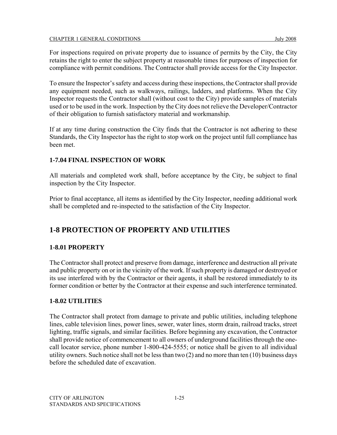For inspections required on private property due to issuance of permits by the City, the City retains the right to enter the subject property at reasonable times for purposes of inspection for compliance with permit conditions. The Contractor shall provide access for the City Inspector.

To ensure the Inspector's safety and access during these inspections, the Contractor shall provide any equipment needed, such as walkways, railings, ladders, and platforms. When the City Inspector requests the Contractor shall (without cost to the City) provide samples of materials used or to be used in the work. Inspection by the City does not relieve the Developer/Contractor of their obligation to furnish satisfactory material and workmanship.

If at any time during construction the City finds that the Contractor is not adhering to these Standards, the City Inspector has the right to stop work on the project until full compliance has been met.

# **1-7.04 FINAL INSPECTION OF WORK**

All materials and completed work shall, before acceptance by the City, be subject to final inspection by the City Inspector.

Prior to final acceptance, all items as identified by the City Inspector, needing additional work shall be completed and re-inspected to the satisfaction of the City Inspector.

# **1-8 PROTECTION OF PROPERTY AND UTILITIES**

### **1-8.01 PROPERTY**

The Contractor shall protect and preserve from damage, interference and destruction all private and public property on or in the vicinity of the work. If such property is damaged or destroyed or its use interfered with by the Contractor or their agents, it shall be restored immediately to its former condition or better by the Contractor at their expense and such interference terminated.

### **1-8.02 UTILITIES**

The Contractor shall protect from damage to private and public utilities, including telephone lines, cable television lines, power lines, sewer, water lines, storm drain, railroad tracks, street lighting, traffic signals, and similar facilities. Before beginning any excavation, the Contractor shall provide notice of commencement to all owners of underground facilities through the onecall locator service, phone number 1-800-424-5555; or notice shall be given to all individual utility owners. Such notice shall not be less than two (2) and no more than ten (10) business days before the scheduled date of excavation.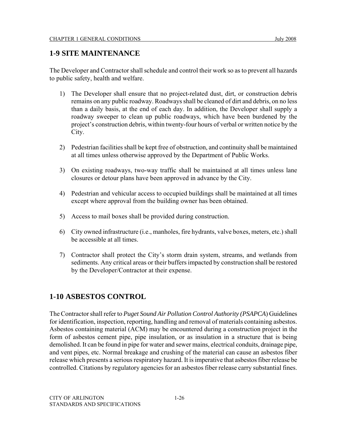# **1-9 SITE MAINTENANCE**

The Developer and Contractor shall schedule and control their work so as to prevent all hazards to public safety, health and welfare.

- 1) The Developer shall ensure that no project-related dust, dirt, or construction debris remains on any public roadway. Roadways shall be cleaned of dirt and debris, on no less than a daily basis, at the end of each day. In addition, the Developer shall supply a roadway sweeper to clean up public roadways, which have been burdened by the project's construction debris, within twenty-four hours of verbal or written notice by the City.
- 2) Pedestrian facilities shall be kept free of obstruction, and continuity shall be maintained at all times unless otherwise approved by the Department of Public Works.
- 3) On existing roadways, two-way traffic shall be maintained at all times unless lane closures or detour plans have been approved in advance by the City.
- 4) Pedestrian and vehicular access to occupied buildings shall be maintained at all times except where approval from the building owner has been obtained.
- 5) Access to mail boxes shall be provided during construction.
- 6) City owned infrastructure (i.e., manholes, fire hydrants, valve boxes, meters, etc.) shall be accessible at all times.
- 7) Contractor shall protect the City's storm drain system, streams, and wetlands from sediments. Any critical areas or their buffers impacted by construction shall be restored by the Developer/Contractor at their expense.

# **1-10 ASBESTOS CONTROL**

The Contractor shall refer to *Puget Sound Air Pollution Control Authority (PSAPCA*) Guidelines for identification, inspection, reporting, handling and removal of materials containing asbestos. Asbestos containing material (ACM) may be encountered during a construction project in the form of asbestos cement pipe, pipe insulation, or as insulation in a structure that is being demolished. It can be found in pipe for water and sewer mains, electrical conduits, drainage pipe, and vent pipes, etc. Normal breakage and crushing of the material can cause an asbestos fiber release which presents a serious respiratory hazard. It is imperative that asbestos fiber release be controlled. Citations by regulatory agencies for an asbestos fiber release carry substantial fines.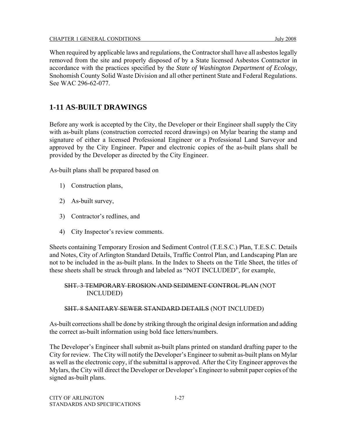When required by applicable laws and regulations, the Contractor shall have all asbestos legally removed from the site and properly disposed of by a State licensed Asbestos Contractor in accordance with the practices specified by the *State of Washington Department of Ecology*, Snohomish County Solid Waste Division and all other pertinent State and Federal Regulations. See WAC 296-62-077.

# **1-11 AS-BUILT DRAWINGS**

Before any work is accepted by the City, the Developer or their Engineer shall supply the City with as-built plans (construction corrected record drawings) on Mylar bearing the stamp and signature of either a licensed Professional Engineer or a Professional Land Surveyor and approved by the City Engineer. Paper and electronic copies of the as-built plans shall be provided by the Developer as directed by the City Engineer.

As-built plans shall be prepared based on

- 1) Construction plans,
- 2) As-built survey,
- 3) Contractor's redlines, and
- 4) City Inspector's review comments.

Sheets containing Temporary Erosion and Sediment Control (T.E.S.C.) Plan, T.E.S.C. Details and Notes, City of Arlington Standard Details, Traffic Control Plan, and Landscaping Plan are not to be included in the as-built plans. In the Index to Sheets on the Title Sheet, the titles of these sheets shall be struck through and labeled as "NOT INCLUDED", for example,

#### SHT. 3 TEMPORARY EROSION AND SEDIMENT CONTROL PLAN (NOT INCLUDED)

#### SHT. 8 SANITARY SEWER STANDARD DETAILS (NOT INCLUDED)

As-built corrections shall be done by striking through the original design information and adding the correct as-built information using bold face letters/numbers.

The Developer's Engineer shall submit as-built plans printed on standard drafting paper to the City for review. The City will notify the Developer's Engineer to submit as-built plans on Mylar as well as the electronic copy, if the submittal is approved. After the City Engineer approves the Mylars, the City will direct the Developer or Developer's Engineer to submit paper copies of the signed as-built plans.